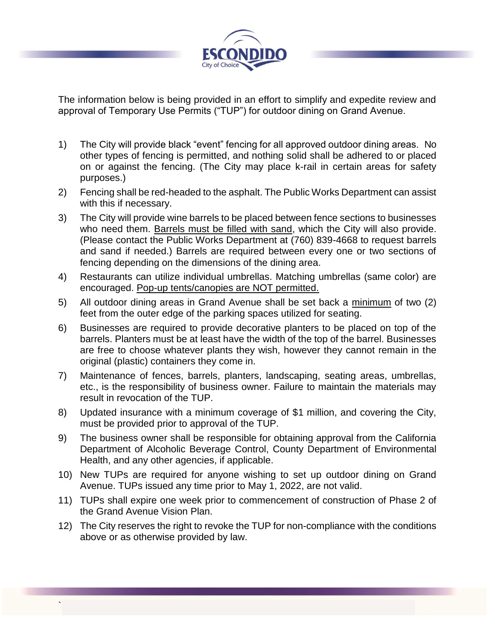

The information below is being provided in an effort to simplify and expedite review and approval of Temporary Use Permits ("TUP") for outdoor dining on Grand Avenue.

- 1) The City will provide black "event" fencing for all approved outdoor dining areas. No other types of fencing is permitted, and nothing solid shall be adhered to or placed on or against the fencing. (The City may place k-rail in certain areas for safety purposes.)
- 2) Fencing shall be red-headed to the asphalt. The Public Works Department can assist with this if necessary.
- 3) The City will provide wine barrels to be placed between fence sections to businesses who need them. Barrels must be filled with sand, which the City will also provide. (Please contact the Public Works Department at (760) 839-4668 to request barrels and sand if needed.) Barrels are required between every one or two sections of fencing depending on the dimensions of the dining area.
- 4) Restaurants can utilize individual umbrellas. Matching umbrellas (same color) are encouraged. Pop-up tents/canopies are NOT permitted.
- 5) All outdoor dining areas in Grand Avenue shall be set back a minimum of two (2) feet from the outer edge of the parking spaces utilized for seating.
- 6) Businesses are required to provide decorative planters to be placed on top of the barrels. Planters must be at least have the width of the top of the barrel. Businesses are free to choose whatever plants they wish, however they cannot remain in the original (plastic) containers they come in.
- 7) Maintenance of fences, barrels, planters, landscaping, seating areas, umbrellas, etc., is the responsibility of business owner. Failure to maintain the materials may result in revocation of the TUP.
- 8) Updated insurance with a minimum coverage of \$1 million, and covering the City, must be provided prior to approval of the TUP.
- 9) The business owner shall be responsible for obtaining approval from the California Department of Alcoholic Beverage Control, County Department of Environmental Health, and any other agencies, if applicable.
- 10) New TUPs are required for anyone wishing to set up outdoor dining on Grand Avenue. TUPs issued any time prior to May 1, 2022, are not valid.
- 11) TUPs shall expire one week prior to commencement of construction of Phase 2 of the Grand Avenue Vision Plan.
- 12) The City reserves the right to revoke the TUP for non-compliance with the conditions above or as otherwise provided by law.

`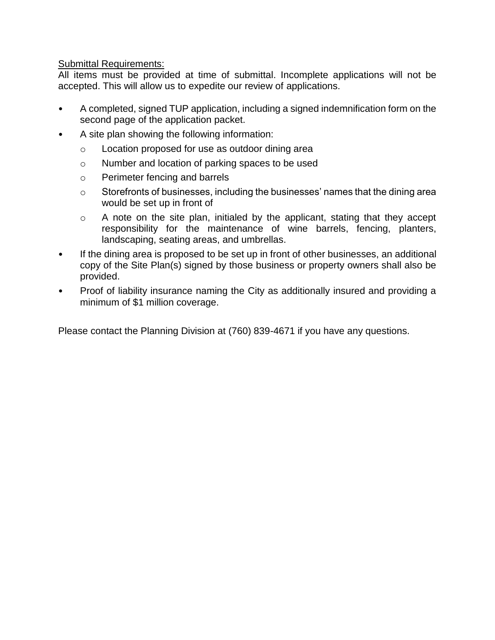# **Submittal Requirements:**

All items must be provided at time of submittal. Incomplete applications will not be accepted. This will allow us to expedite our review of applications.

- A completed, signed TUP application, including a signed indemnification form on the second page of the application packet.
- A site plan showing the following information:
	- o Location proposed for use as outdoor dining area
	- o Number and location of parking spaces to be used
	- o Perimeter fencing and barrels
	- o Storefronts of businesses, including the businesses' names that the dining area would be set up in front of
	- o A note on the site plan, initialed by the applicant, stating that they accept responsibility for the maintenance of wine barrels, fencing, planters, landscaping, seating areas, and umbrellas.
- If the dining area is proposed to be set up in front of other businesses, an additional copy of the Site Plan(s) signed by those business or property owners shall also be provided.
- Proof of liability insurance naming the City as additionally insured and providing a minimum of \$1 million coverage.

Please contact the Planning Division at (760) 839-4671 if you have any questions.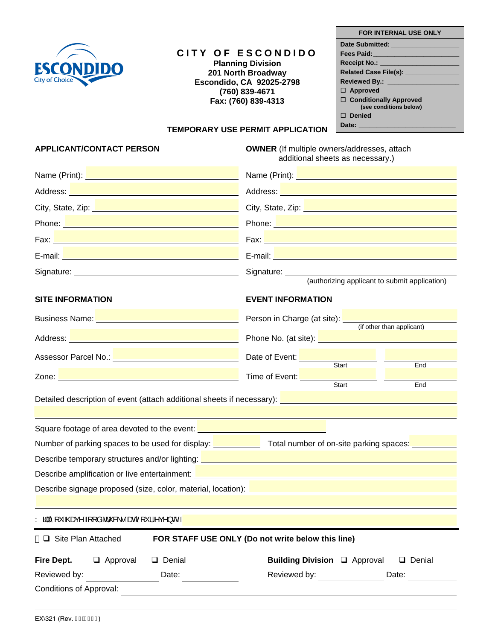

# **CITY OF ESCONDIDO**

**Planning Division 201 North Broadway Escondido, CA 92025-2798 (760) 839-4671 Fax: (760) 839-4313**

### **FOR INTERNAL USE ONLY**

| Date Submitted: __________________ |
|------------------------------------|
| Fees Paid:________________         |
| Receipt No.: ________________      |
|                                    |
| Reviewed By.: _________________    |
| $\Box$ Approved                    |
| □ Conditionally Approved           |
| (see conditions below)             |
| $\Box$ Denied                      |
| Date: _____________________        |

## **TEMPORARY USE PERMIT APPLICATION**

**APPLICANT/CONTACT PERSON OWNER** (If multiple owners/addresses, attach additional sheets as necessary.)

| Name (Print): <u>Name (Print):</u> Name (Print): 2006                                                                                                                                                                                | Name (Print): Name (Print): Name (Print): Name (Print): Name (Print): Name (Print): Name (Print): Name (Print)                                                                                                                 |  |
|--------------------------------------------------------------------------------------------------------------------------------------------------------------------------------------------------------------------------------------|--------------------------------------------------------------------------------------------------------------------------------------------------------------------------------------------------------------------------------|--|
| Address: New York Change and Change and Change and Change and Change and Change and Change and Change and Change and                                                                                                                 | Address: <u>Address: Address: Address: Address: Address: Address: Address: Address: Address: Address: Address: A</u>                                                                                                           |  |
| City, State, Zip: <b>City</b>                                                                                                                                                                                                        | City, State, Zip: <b>Exercise State</b> State Assembly                                                                                                                                                                         |  |
| Phone: New York Changes and Changes and Changes and Changes and Changes and Changes and Changes and Changes and Changes and Changes and Changes and Changes and Changes and Changes and Changes and Changes and Changes and Ch       | Phone: New York Street, New York Street, New York Street, New York Street, New York Street, New York Street, New York Street, New York Street, New York Street, New York Street, New York Street, New York Street, New York St |  |
|                                                                                                                                                                                                                                      |                                                                                                                                                                                                                                |  |
|                                                                                                                                                                                                                                      | E-mail: <b>E-mail: E-mail: E-mail: E-mail: E-mail: E-mail: E-mail: E-mail: E-mail: E-mail: E-mail: E-mail: E-mail: E-mail: E-mail: E-mail: E-mail: E-mail: E-mail: E-mail: E-mail: </b>                                        |  |
|                                                                                                                                                                                                                                      |                                                                                                                                                                                                                                |  |
| <b>SITE INFORMATION</b>                                                                                                                                                                                                              | <b>EVENT INFORMATION</b>                                                                                                                                                                                                       |  |
| Business Name: Name: Name and Second Contract of the Contract of the Contract of the Contract of the Contract of the Contract of the Contract of the Contract of the Contract of the Contract of the Contract of the Contract        | Person in Charge (at site): (if other than applicant)                                                                                                                                                                          |  |
|                                                                                                                                                                                                                                      | Phone No. (at site): <b>Example 2014</b>                                                                                                                                                                                       |  |
| Assessor Parcel No.: No.: 2008 10:00 10:00 10:00 10:00 10:00 10:00 10:00 10:00 10:00 10:00 10:00 10:00 10:00 1                                                                                                                       | Date of Event: Start<br>End                                                                                                                                                                                                    |  |
| Zone: New York State Contract of the Contract of the Contract of the Contract of the Contract of the Contract of the Contract of the Contract of the Contract of the Contract of the Contract of the Contract of the Contract        | Time of Event: Start<br>End                                                                                                                                                                                                    |  |
| Detailed description of event (attach additional sheets if necessary): <b>Detailed and an additional control of the state of the state of the state of the state of the state of the state of the state of the state of the stat</b> |                                                                                                                                                                                                                                |  |
|                                                                                                                                                                                                                                      |                                                                                                                                                                                                                                |  |
| Square footage of area devoted to the event: <b>contract and the state of the state of the state of the state of the state of the state of the state of the state of the state of the state of the state of the state of the sta</b> |                                                                                                                                                                                                                                |  |
| Number of parking spaces to be used for display: The Model of Total number of on-site parking spaces: The Model                                                                                                                      |                                                                                                                                                                                                                                |  |
| Describe temporary structures and/or lighting: <b>contain the container and all the container and all the container</b>                                                                                                              |                                                                                                                                                                                                                                |  |
| Describe amplification or live entertainment: <b>contract and contract and contract and contract and contract and contract and contract and contract and contract and contract and contract and contract and contract and contra</b> |                                                                                                                                                                                                                                |  |
| Describe signage proposed (size, color, material, location): <b>contract and contract and contract and contract and contract and contract and contract and contract and contract and contract and contract and contract and cont</b> |                                                                                                                                                                                                                                |  |
|                                                                                                                                                                                                                                      |                                                                                                                                                                                                                                |  |
| Yā∥Á [ˇ Á@eqc^Á [jåÁs'&∖∙Áæqé\[ˇ¦Á^ç^}oÑ <mark>xi</mark>                                                                                                                                                                             |                                                                                                                                                                                                                                |  |
| FOR STAFF USE ONLY (Do not write below this line)<br>□ Site Plan Attached                                                                                                                                                            |                                                                                                                                                                                                                                |  |
| <b>Fire Dept.</b><br>$\Box$ Approval<br>Denial                                                                                                                                                                                       | Building Division Q Approval<br>$\Box$ Denial                                                                                                                                                                                  |  |
| Reviewed by:<br>Date:                                                                                                                                                                                                                | Reviewed by:<br>Date:                                                                                                                                                                                                          |  |
| <b>Conditions of Approval:</b>                                                                                                                                                                                                       |                                                                                                                                                                                                                                |  |